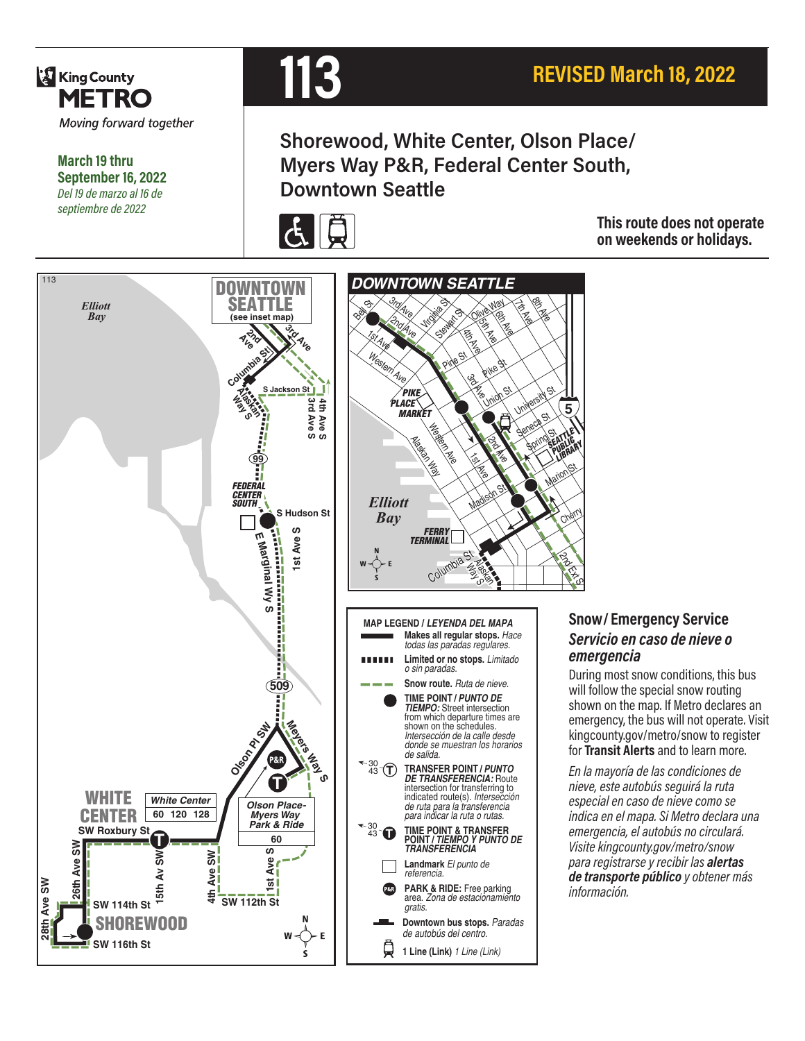